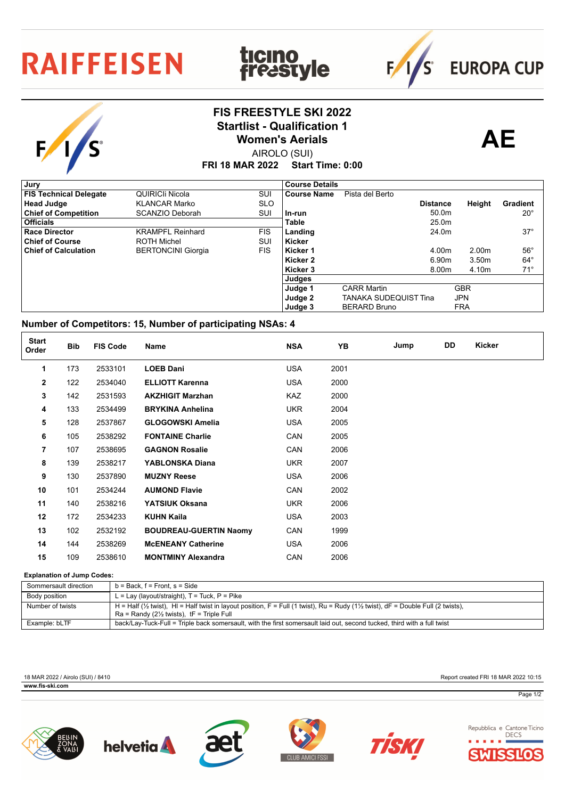## **RAIFFEISEN**

S

## **FIS FREESTYLE SKI 2022** Startlist - Qualification 1<br>
Women's Aerials **AE Women's Aerials**

**ticino<br>freastyle** 



 $F/1/S$ 

**EUROPA CUP** 

AIROLO (SUI)

**FRI 18 MAR 2022 Start Time: 0:00**

| , Jury                        |                           |            | <b>Course Details</b> |                       |                   |                   |              |
|-------------------------------|---------------------------|------------|-----------------------|-----------------------|-------------------|-------------------|--------------|
| <b>FIS Technical Delegate</b> | QUIRICII Nicola           | SUI        | Course Name           | Pista del Berto       |                   |                   |              |
| <b>Head Judge</b>             | <b>KLANCAR Marko</b>      | <b>SLO</b> |                       |                       | <b>Distance</b>   | Height            | Gradient     |
| <b>Chief of Competition</b>   | SCANZIO Deborah           | SUI        | ln-run                |                       | 50.0 <sub>m</sub> |                   | $20^{\circ}$ |
| <b>Officials</b>              |                           |            | <b>Table</b>          |                       | 25.0 <sub>m</sub> |                   |              |
| <b>Race Director</b>          | <b>KRAMPFL Reinhard</b>   | <b>FIS</b> | Landing               |                       | 24.0m             |                   | $37^\circ$   |
| <b>Chief of Course</b>        | <b>ROTH Michel</b>        | SUI        | Kicker                |                       |                   |                   |              |
| <b>Chief of Calculation</b>   | <b>BERTONCINI Giorgia</b> | <b>FIS</b> | Kicker 1              |                       | 4.00m             | 2.00 <sub>m</sub> | $56^{\circ}$ |
|                               |                           |            | Kicker 2              |                       | 6.90m             | 3.50 <sub>m</sub> | $64^{\circ}$ |
|                               |                           |            | Kicker 3              |                       | 8.00m             | 4.10m             | $71^\circ$   |
|                               |                           |            | Judges                |                       |                   |                   |              |
|                               |                           |            | Judge 1               | <b>CARR Martin</b>    |                   | <b>GBR</b>        |              |
|                               |                           |            | Judge 2               | TANAKA SUDEQUIST Tina |                   | <b>JPN</b>        |              |
|                               |                           |            | Judge 3               | <b>BERARD Bruno</b>   |                   | <b>FRA</b>        |              |

## **Number of Competitors: 15, Number of participating NSAs: 4**

| <b>Start</b><br>Order | <b>Bib</b> | <b>FIS Code</b> | Name                          | <b>NSA</b> | YB   | Jump | DD | Kicker |
|-----------------------|------------|-----------------|-------------------------------|------------|------|------|----|--------|
| 1                     | 173        | 2533101         | <b>LOEB Dani</b>              | <b>USA</b> | 2001 |      |    |        |
| $\mathbf{2}$          | 122        | 2534040         | <b>ELLIOTT Karenna</b>        | <b>USA</b> | 2000 |      |    |        |
| 3                     | 142        | 2531593         | <b>AKZHIGIT Marzhan</b>       | KAZ        | 2000 |      |    |        |
| 4                     | 133        | 2534499         | <b>BRYKINA Anhelina</b>       | <b>UKR</b> | 2004 |      |    |        |
| 5                     | 128        | 2537867         | <b>GLOGOWSKI Amelia</b>       | <b>USA</b> | 2005 |      |    |        |
| 6                     | 105        | 2538292         | <b>FONTAINE Charlie</b>       | CAN        | 2005 |      |    |        |
| 7                     | 107        | 2538695         | <b>GAGNON Rosalie</b>         | CAN        | 2006 |      |    |        |
| 8                     | 139        | 2538217         | YABLONSKA Diana               | <b>UKR</b> | 2007 |      |    |        |
| 9                     | 130        | 2537890         | <b>MUZNY Reese</b>            | <b>USA</b> | 2006 |      |    |        |
| 10                    | 101        | 2534244         | <b>AUMOND Flavie</b>          | CAN        | 2002 |      |    |        |
| 11                    | 140        | 2538216         | YATSIUK Oksana                | <b>UKR</b> | 2006 |      |    |        |
| 12                    | 172        | 2534233         | <b>KUHN Kaila</b>             | <b>USA</b> | 2003 |      |    |        |
| 13                    | 102        | 2532192         | <b>BOUDREAU-GUERTIN Naomy</b> | CAN        | 1999 |      |    |        |
| 14                    | 144        | 2538269         | <b>MCENEANY Catherine</b>     | <b>USA</b> | 2006 |      |    |        |
| 15                    | 109        | 2538610         | <b>MONTMINY Alexandra</b>     | CAN        | 2006 |      |    |        |

## **Explanation of Jump Codes:**

| Sommersault direction | $b = Back$ . $f = Front$ . $s = Side$                                                                                                                    |
|-----------------------|----------------------------------------------------------------------------------------------------------------------------------------------------------|
| Body position         | L = Lay (layout/straight), $T = Tuck$ , $P = Pike$                                                                                                       |
| Number of twists      | H = Half ( $\frac{1}{2}$ twist), HI = Half twist in layout position, F = Full (1 twist), Ru = Rudy (1 $\frac{1}{2}$ twist), dF = Double Full (2 twists), |
|                       | $Ra =$ Randy (2 $\frac{1}{2}$ twists), tF = Triple Full                                                                                                  |
| Example: bLTF         | back/Lay-Tuck-Full = Triple back somersault, with the first somersault laid out, second tucked, third with a full twist                                  |

**WWW.fis-ski.com** 

18 MAR 2022 / Airolo (SUI) / 8410 Report created FRI 18 MAR 2022 10:15

Page 1/2











Repubblica e Cantone Ticino **DECS** SIIC